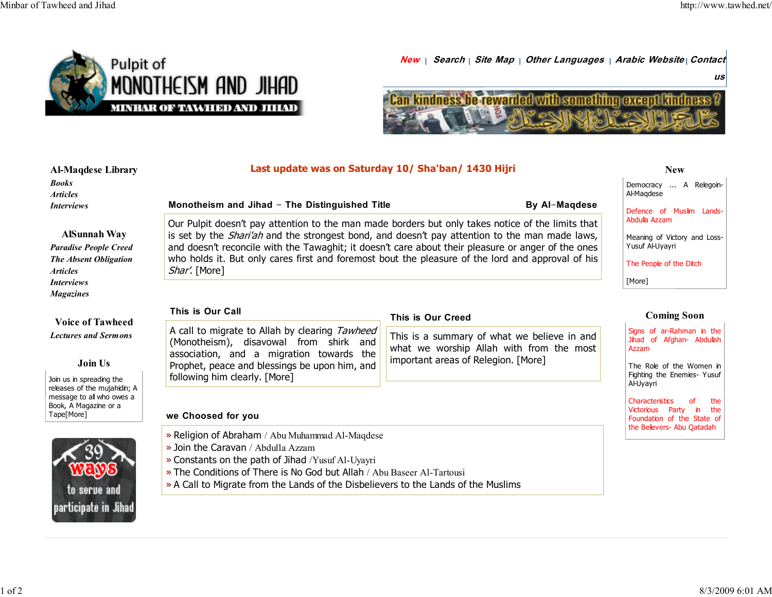

New  $\mid$  Search  $\mid$  Site Map  $\mid$  Other Languages  $\mid$  Arabic Website $\mid$  Contact

us



| <b>Al-Maqdese Library</b>                                                                                                                       | Last update was on Saturday 10/ Sha'ban/ 1430 Hijri                                                                                                                                                                                                                                                                                                                                                                                    |                                                                                         | <b>New</b>                                                                                                                       |
|-------------------------------------------------------------------------------------------------------------------------------------------------|----------------------------------------------------------------------------------------------------------------------------------------------------------------------------------------------------------------------------------------------------------------------------------------------------------------------------------------------------------------------------------------------------------------------------------------|-----------------------------------------------------------------------------------------|----------------------------------------------------------------------------------------------------------------------------------|
| <b>Books</b><br><b>Articles</b><br><i>Interviews</i>                                                                                            | Monotheism and Jihad - The Distinguished Title                                                                                                                                                                                                                                                                                                                                                                                         | <b>By Al-Magdese</b>                                                                    | Democracy  A Relegoin-<br><b>Al-Magdese</b><br>Defence of Muslim Lands-                                                          |
| <b>AlSunnah Way</b><br><b>Paradise People Creed</b><br><b>The Absent Obligation</b><br><b>Articles</b><br><i>Interviews</i><br><b>Magazines</b> | Our Pulpit doesn't pay attention to the man made borders but only takes notice of the limits that<br>is set by the <i>Shari'ah</i> and the strongest bond, and doesn't pay attention to the man made laws,<br>and doesn't reconcile with the Tawaghit; it doesn't care about their pleasure or anger of the ones<br>who holds it. But only cares first and foremost bout the pleasure of the lord and approval of his<br>Shar'. [More] |                                                                                         | Abdulla Azzam<br>Meaning of Victory and Loss-<br>Yusuf Al-Uyayri<br>The People of the Ditch<br>[More]                            |
|                                                                                                                                                 | This is Our Call                                                                                                                                                                                                                                                                                                                                                                                                                       | This is Our Creed                                                                       | <b>Coming Soon</b>                                                                                                               |
| <b>Voice of Tawheed</b><br><b>Lectures and Sermons</b><br>Join Us<br>Join us in spreading the                                                   | A call to migrate to Allah by clearing Tawheed<br>(Monotheism), disavowal from shirk and<br>association, and a migration towards the<br>important areas of Relegion. [More]<br>Prophet, peace and blessings be upon him, and<br>following him clearly. [More]                                                                                                                                                                          | This is a summary of what we believe in and<br>what we worship Allah with from the most | Signs of ar-Rahman in the<br>Jihad of Afghan- Abdullah<br>Azzam<br>The Role of the Women in<br>Fighting the Enemies- Yusuf       |
| releases of the mujahidin; A<br>message to all who owes a<br>Book, A Magazine or a<br>Tape <sup>[More]</sup>                                    | we Choosed for you                                                                                                                                                                                                                                                                                                                                                                                                                     |                                                                                         | Al-Uyayri<br><b>Characteristics</b><br>of<br>the<br><b>Victorious</b><br>Party<br>the<br><b>in</b><br>Foundation of the State of |
| to serve and                                                                                                                                    | » Religion of Abraham / Abu Muhammad Al-Maqdese<br>>> Join the Caravan / Abdulla Azzam<br>» Constants on the path of Jihad /Yusuf Al-Uyayri<br>» The Conditions of There is No God but Allah / Abu Baseer Al-Tartousi<br>» A Call to Migrate from the Lands of the Disbelievers to the Lands of the Muslims                                                                                                                            |                                                                                         | the Believers- Abu Qatadah                                                                                                       |

participate in Jihad